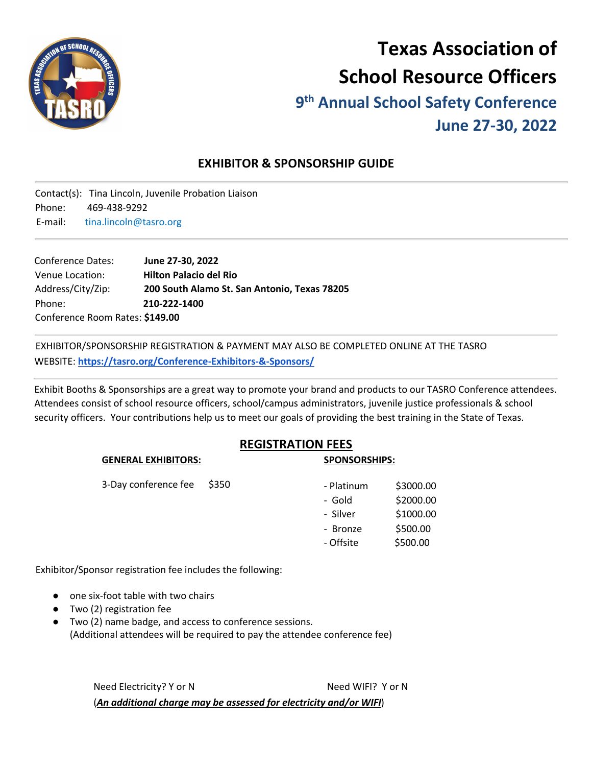

# **Texas Association of School Resource Officers 9th Annual School Safety Conference**

# **June 27-30, 2022**

# **EXHIBITOR & SPONSORSHIP GUIDE**

Contact(s): Tina Lincoln, Juvenile Probation Liaison Phone: 469-438-9292 E-mail: tina.lincoln@tasro.org

| <b>Conference Dates:</b>        | June 27-30, 2022                             |  |  |  |
|---------------------------------|----------------------------------------------|--|--|--|
| Venue Location:                 | <b>Hilton Palacio del Rio</b>                |  |  |  |
| Address/City/Zip:               | 200 South Alamo St. San Antonio, Texas 78205 |  |  |  |
| Phone:                          | 210-222-1400                                 |  |  |  |
| Conference Room Rates: \$149.00 |                                              |  |  |  |

EXHIBITOR/SPONSORSHIP REGISTRATION & PAYMENT MAY ALSO BE COMPLETED ONLINE AT THE TASRO WEBSITE: **https://tasro.org/Conference-Exhibitors-&-Sponsors/**

Exhibit Booths & Sponsorships are a great way to promote your brand and products to our TASRO Conference attendees. Attendees consist of school resource officers, school/campus administrators, juvenile justice professionals & school security officers. Your contributions help us to meet our goals of providing the best training in the State of Texas.

### **REGISTRATION FEES**

| 55.1                 |       | יט ווויטווטטוט וכ |           |
|----------------------|-------|-------------------|-----------|
| 3-Day conference fee | \$350 | - Platinum        | \$3000.00 |
|                      |       | - Gold            | \$2000.00 |
|                      |       | - Silver          | \$1000.00 |
|                      |       | - Bronze          | \$500.00  |
|                      |       | - Offsite         | \$500.00  |
|                      |       |                   |           |

**GENERAL EXHIBITORS: SPONSORSHIPS:**

Exhibitor/Sponsor registration fee includes the following:

- one six-foot table with two chairs
- Two (2) registration fee
- Two (2) name badge, and access to conference sessions. (Additional attendees will be required to pay the attendee conference fee)

Need Electricity? Y or N Need WIFI? Y or N (*An additional charge may be assessed for electricity and/or WIFI*)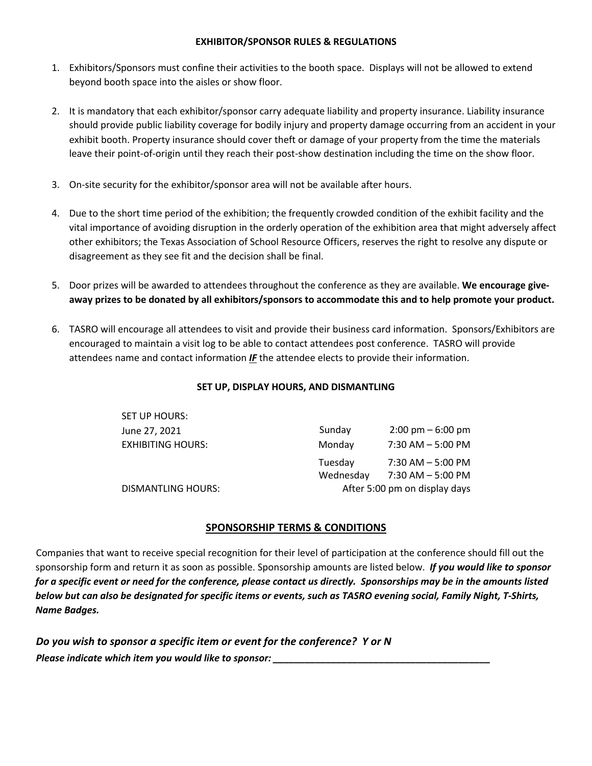#### **EXHIBITOR/SPONSOR RULES & REGULATIONS**

- 1. Exhibitors/Sponsors must confine their activities to the booth space. Displays will not be allowed to extend beyond booth space into the aisles or show floor.
- 2. It is mandatory that each exhibitor/sponsor carry adequate liability and property insurance. Liability insurance should provide public liability coverage for bodily injury and property damage occurring from an accident in your exhibit booth. Property insurance should cover theft or damage of your property from the time the materials leave their point-of-origin until they reach their post-show destination including the time on the show floor.
- 3. On-site security for the exhibitor/sponsor area will not be available after hours.
- 4. Due to the short time period of the exhibition; the frequently crowded condition of the exhibit facility and the vital importance of avoiding disruption in the orderly operation of the exhibition area that might adversely affect other exhibitors; the Texas Association of School Resource Officers, reserves the right to resolve any dispute or disagreement as they see fit and the decision shall be final.
- 5. Door prizes will be awarded to attendees throughout the conference as they are available. **We encourage giveaway prizes to be donated by all exhibitors/sponsors to accommodate this and to help promote your product.**
- 6. TASRO will encourage all attendees to visit and provide their business card information. Sponsors/Exhibitors are encouraged to maintain a visit log to be able to contact attendees post conference. TASRO will provide attendees name and contact information *IF* the attendee elects to provide their information.

#### **SET UP, DISPLAY HOURS, AND DISMANTLING**

| SET UP HOURS:            |           |                                     |
|--------------------------|-----------|-------------------------------------|
| June 27, 2021            | Sunday    | $2:00 \text{ pm} - 6:00 \text{ pm}$ |
| <b>EXHIBITING HOURS:</b> | Monday    | $7:30$ AM $-5:00$ PM                |
|                          | Tuesday   | $7:30$ AM $-5:00$ PM                |
|                          | Wednesday | $7:30$ AM $-5:00$ PM                |
| DISMANTLING HOURS:       |           | After 5:00 pm on display days       |

#### **SPONSORSHIP TERMS & CONDITIONS**

Companies that want to receive special recognition for their level of participation at the conference should fill out the sponsorship form and return it as soon as possible. Sponsorship amounts are listed below. *If you would like to sponsor for a specific event or need for the conference, please contact us directly. Sponsorships may be in the amounts listed below but can also be designated for specific items or events, such as TASRO evening social, Family Night, T-Shirts, Name Badges.* 

*Do you wish to sponsor a specific item or event for the conference? Y or N Please indicate which item you would like to sponsor:*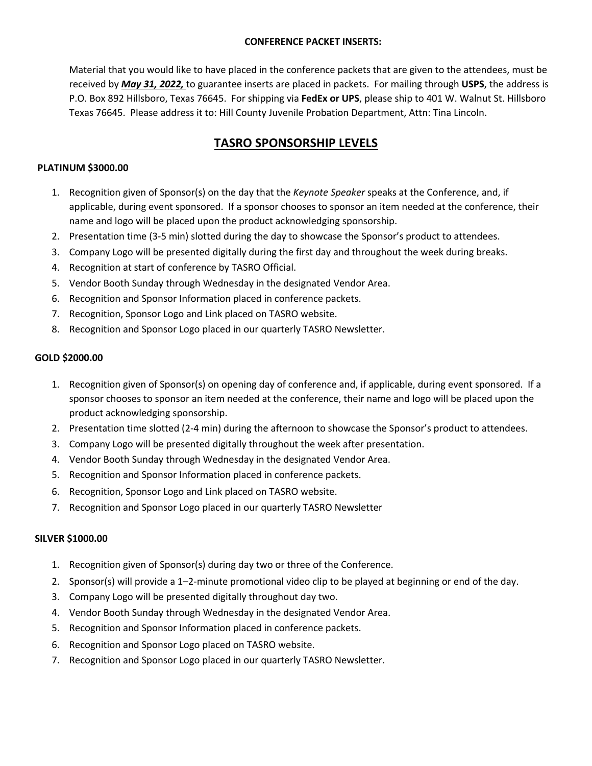#### **CONFERENCE PACKET INSERTS:**

Material that you would like to have placed in the conference packets that are given to the attendees, must be received by *May 31, 2022,* to guarantee inserts are placed in packets. For mailing through **USPS**, the address is P.O. Box 892 Hillsboro, Texas 76645. For shipping via **FedEx or UPS**, please ship to 401 W. Walnut St. Hillsboro Texas 76645. Please address it to: Hill County Juvenile Probation Department, Attn: Tina Lincoln.

# **TASRO SPONSORSHIP LEVELS**

#### **PLATINUM \$3000.00**

- 1. Recognition given of Sponsor(s) on the day that the *Keynote Speaker* speaks at the Conference, and, if applicable, during event sponsored. If a sponsor chooses to sponsor an item needed at the conference, their name and logo will be placed upon the product acknowledging sponsorship.
- 2. Presentation time (3-5 min) slotted during the day to showcase the Sponsor's product to attendees.
- 3. Company Logo will be presented digitally during the first day and throughout the week during breaks.
- 4. Recognition at start of conference by TASRO Official.
- 5. Vendor Booth Sunday through Wednesday in the designated Vendor Area.
- 6. Recognition and Sponsor Information placed in conference packets.
- 7. Recognition, Sponsor Logo and Link placed on TASRO website.
- 8. Recognition and Sponsor Logo placed in our quarterly TASRO Newsletter.

#### **GOLD \$2000.00**

- 1. Recognition given of Sponsor(s) on opening day of conference and, if applicable, during event sponsored. If a sponsor chooses to sponsor an item needed at the conference, their name and logo will be placed upon the product acknowledging sponsorship.
- 2. Presentation time slotted (2-4 min) during the afternoon to showcase the Sponsor's product to attendees.
- 3. Company Logo will be presented digitally throughout the week after presentation.
- 4. Vendor Booth Sunday through Wednesday in the designated Vendor Area.
- 5. Recognition and Sponsor Information placed in conference packets.
- 6. Recognition, Sponsor Logo and Link placed on TASRO website.
- 7. Recognition and Sponsor Logo placed in our quarterly TASRO Newsletter

#### **SILVER \$1000.00**

- 1. Recognition given of Sponsor(s) during day two or three of the Conference.
- 2. Sponsor(s) will provide a 1–2-minute promotional video clip to be played at beginning or end of the day.
- 3. Company Logo will be presented digitally throughout day two.
- 4. Vendor Booth Sunday through Wednesday in the designated Vendor Area.
- 5. Recognition and Sponsor Information placed in conference packets.
- 6. Recognition and Sponsor Logo placed on TASRO website.
- 7. Recognition and Sponsor Logo placed in our quarterly TASRO Newsletter.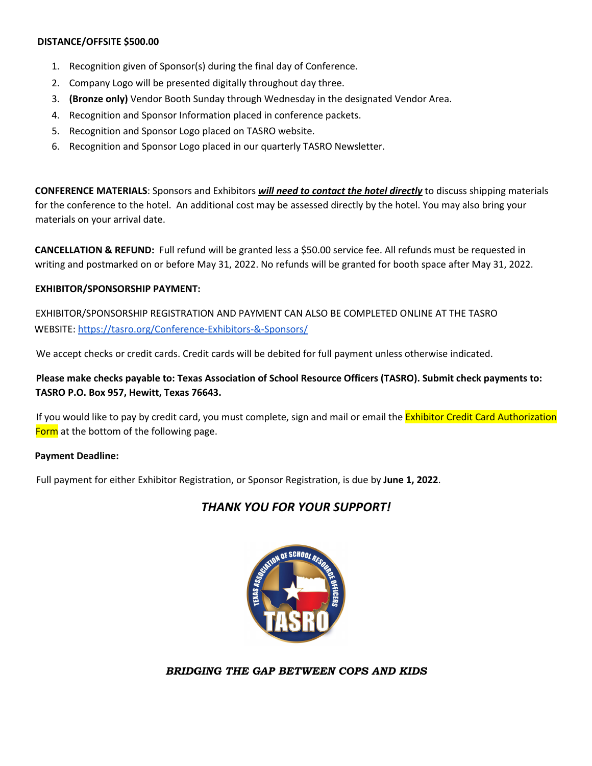#### **DISTANCE/OFFSITE \$500.00**

- 1. Recognition given of Sponsor(s) during the final day of Conference.
- 2. Company Logo will be presented digitally throughout day three.
- 3. **(Bronze only)** Vendor Booth Sunday through Wednesday in the designated Vendor Area.
- 4. Recognition and Sponsor Information placed in conference packets.
- 5. Recognition and Sponsor Logo placed on TASRO website.
- 6. Recognition and Sponsor Logo placed in our quarterly TASRO Newsletter.

**CONFERENCE MATERIALS**: Sponsors and Exhibitors *will need to contact the hotel directly* to discuss shipping materials for the conference to the hotel. An additional cost may be assessed directly by the hotel. You may also bring your materials on your arrival date.

**CANCELLATION & REFUND:** Full refund will be granted less a \$50.00 service fee. All refunds must be requested in writing and postmarked on or before May 31, 2022. No refunds will be granted for booth space after May 31, 2022.

#### **EXHIBITOR/SPONSORSHIP PAYMENT:**

EXHIBITOR/SPONSORSHIP REGISTRATION AND PAYMENT CAN ALSO BE COMPLETED ONLINE AT THE TASRO WEBSITE: https://tasro.org/Conference-Exhibitors-&-Sponsors/

We accept checks or credit cards. Credit cards will be debited for full payment unless otherwise indicated.

**Please make checks payable to: Texas Association of School Resource Officers (TASRO). Submit check payments to: TASRO P.O. Box 957, Hewitt, Texas 76643.** 

If you would like to pay by credit card, you must complete, sign and mail or email the Exhibitor Credit Card Authorization Form at the bottom of the following page.

#### **Payment Deadline:**

Full payment for either Exhibitor Registration, or Sponsor Registration, is due by **June 1, 2022**.

## *THANK YOU FOR YOUR SUPPORT!*



*BRIDGING THE GAP BETWEEN COPS AND KIDS*